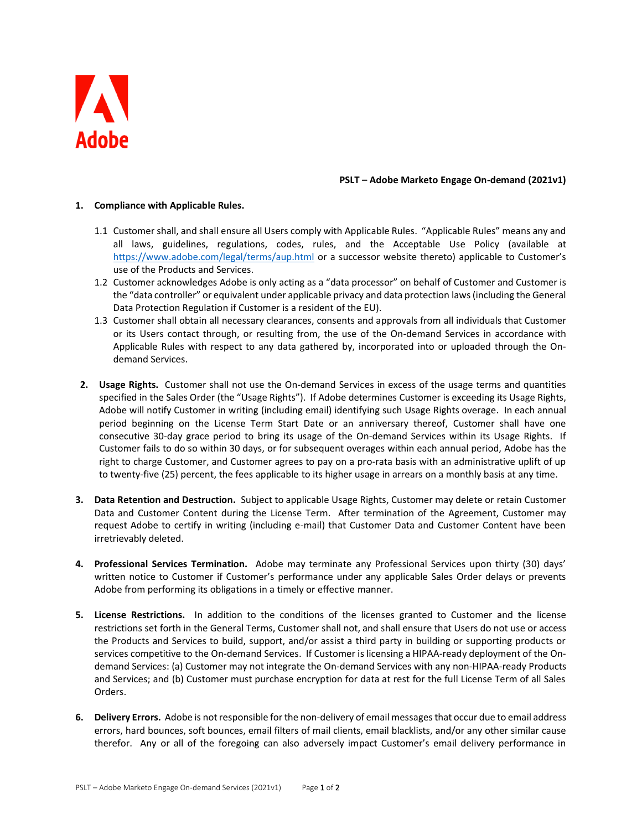

## **PSLT – Adobe Marketo Engage On-demand (2021v1)**

## **1. Compliance with Applicable Rules.**

- 1.1 Customer shall, and shall ensure all Users comply with Applicable Rules. "Applicable Rules" means any and all laws, guidelines, regulations, codes, rules, and the Acceptable Use Policy (available at <https://www.adobe.com/legal/terms/aup.html> or a successor website thereto) applicable to Customer's use of the Products and Services.
- 1.2 Customer acknowledges Adobe is only acting as a "data processor" on behalf of Customer and Customer is the "data controller" or equivalent under applicable privacy and data protection laws (including the General Data Protection Regulation if Customer is a resident of the EU).
- 1.3 Customer shall obtain all necessary clearances, consents and approvals from all individuals that Customer or its Users contact through, or resulting from, the use of the On-demand Services in accordance with Applicable Rules with respect to any data gathered by, incorporated into or uploaded through the Ondemand Services.
- **2. Usage Rights.** Customer shall not use the On-demand Services in excess of the usage terms and quantities specified in the Sales Order (the "Usage Rights"). If Adobe determines Customer is exceeding its Usage Rights, Adobe will notify Customer in writing (including email) identifying such Usage Rights overage. In each annual period beginning on the License Term Start Date or an anniversary thereof, Customer shall have one consecutive 30-day grace period to bring its usage of the On-demand Services within its Usage Rights. If Customer fails to do so within 30 days, or for subsequent overages within each annual period, Adobe has the right to charge Customer, and Customer agrees to pay on a pro-rata basis with an administrative uplift of up to twenty-five (25) percent, the fees applicable to its higher usage in arrears on a monthly basis at any time.
- **3. Data Retention and Destruction.** Subject to applicable Usage Rights, Customer may delete or retain Customer Data and Customer Content during the License Term. After termination of the Agreement, Customer may request Adobe to certify in writing (including e-mail) that Customer Data and Customer Content have been irretrievably deleted.
- **4. Professional Services Termination.** Adobe may terminate any Professional Services upon thirty (30) days' written notice to Customer if Customer's performance under any applicable Sales Order delays or prevents Adobe from performing its obligations in a timely or effective manner.
- **5. License Restrictions.** In addition to the conditions of the licenses granted to Customer and the license restrictions set forth in the General Terms, Customer shall not, and shall ensure that Users do not use or access the Products and Services to build, support, and/or assist a third party in building or supporting products or services competitive to the On-demand Services. If Customer is licensing a HIPAA-ready deployment of the Ondemand Services: (a) Customer may not integrate the On-demand Services with any non-HIPAA-ready Products and Services; and (b) Customer must purchase encryption for data at rest for the full License Term of all Sales Orders.
- **6. Delivery Errors.** Adobe is not responsible for the non-delivery of email messages that occur due to email address errors, hard bounces, soft bounces, email filters of mail clients, email blacklists, and/or any other similar cause therefor. Any or all of the foregoing can also adversely impact Customer's email delivery performance in